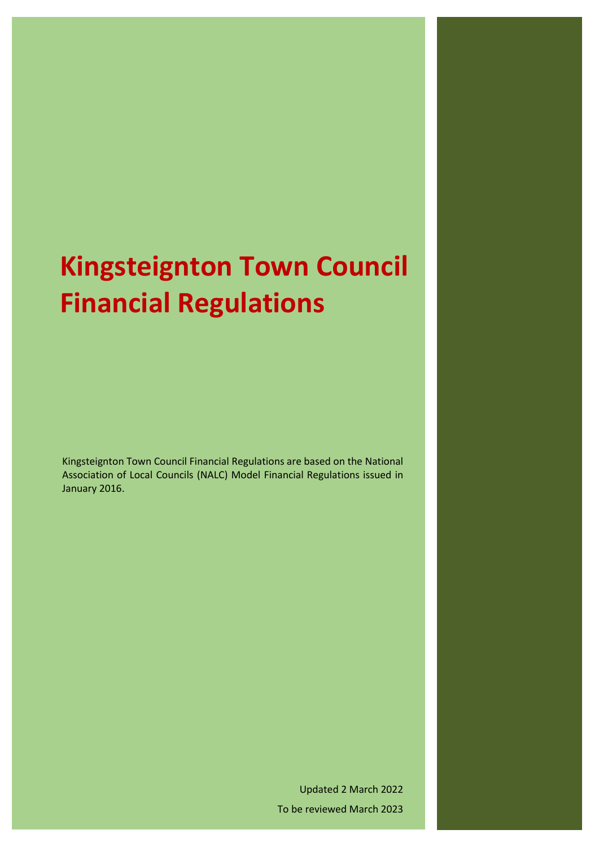# **Kingsteignton Town Council Financial Regulations**

Kingsteignton Town Council Financial Regulations are based on the National Association of Local Councils (NALC) Model Financial Regulations issued in January 2016.

> Updated 2 March 2022 To be reviewed March 2023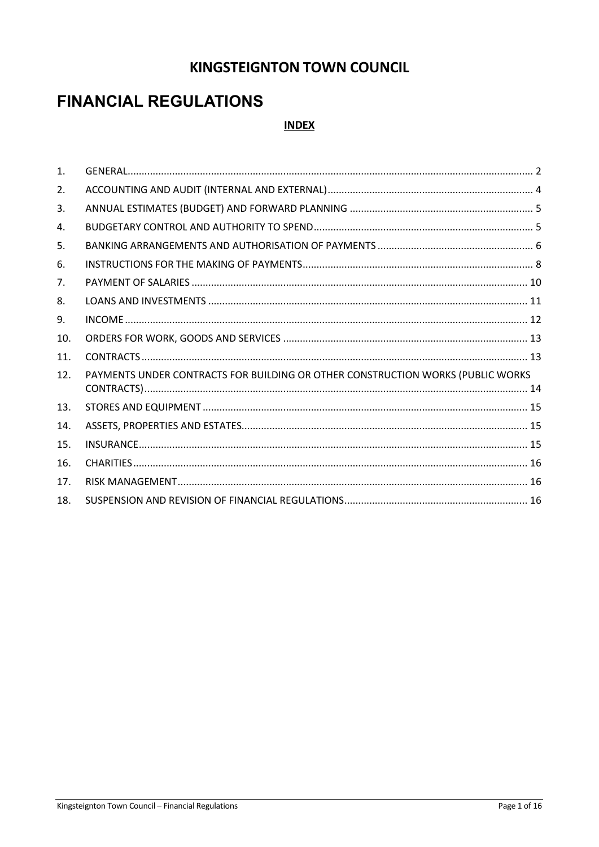### **KINGSTEIGNTON TOWN COUNCIL**

## **FINANCIAL REGULATIONS**

#### **INDEX**

| $\mathbf{1}$ . |                                                                                 |  |
|----------------|---------------------------------------------------------------------------------|--|
| 2.             |                                                                                 |  |
| 3.             |                                                                                 |  |
| 4.             |                                                                                 |  |
| 5.             |                                                                                 |  |
| 6.             |                                                                                 |  |
| 7.             |                                                                                 |  |
| 8.             |                                                                                 |  |
| 9.             |                                                                                 |  |
| 10.            |                                                                                 |  |
| 11.            |                                                                                 |  |
| 12.            | PAYMENTS UNDER CONTRACTS FOR BUILDING OR OTHER CONSTRUCTION WORKS (PUBLIC WORKS |  |
| 13.            |                                                                                 |  |
| 14.            |                                                                                 |  |
| 15.            |                                                                                 |  |
| 16.            |                                                                                 |  |
| 17.            |                                                                                 |  |
| 18.            |                                                                                 |  |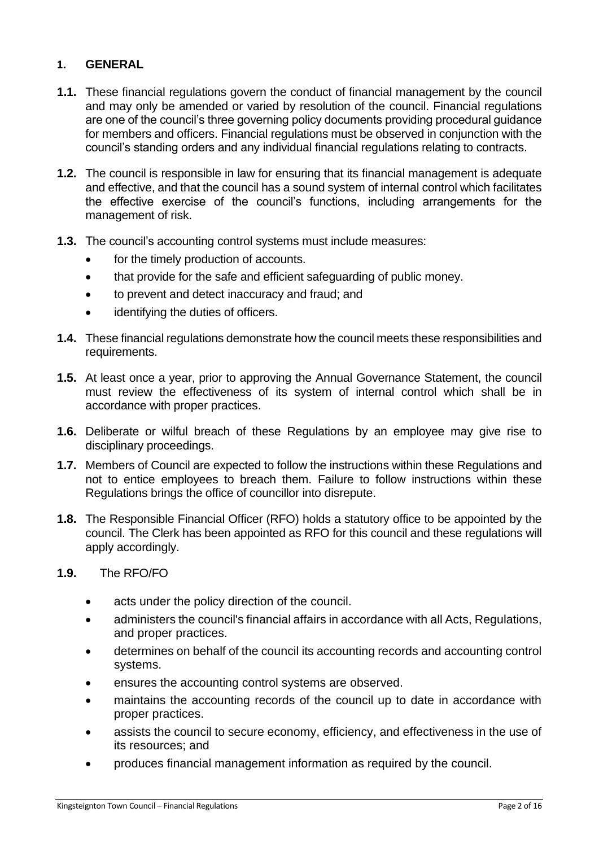#### <span id="page-2-0"></span>**1. GENERAL**

- **1.1.** These financial regulations govern the conduct of financial management by the council and may only be amended or varied by resolution of the council. Financial regulations are one of the council's three governing policy documents providing procedural guidance for members and officers. Financial regulations must be observed in conjunction with the council's standing orders and any individual financial regulations relating to contracts.
- **1.2.** The council is responsible in law for ensuring that its financial management is adequate and effective, and that the council has a sound system of internal control which facilitates the effective exercise of the council's functions, including arrangements for the management of risk.
- **1.3.** The council's accounting control systems must include measures:
	- for the timely production of accounts.
	- that provide for the safe and efficient safeguarding of public money.
	- to prevent and detect inaccuracy and fraud; and
	- identifying the duties of officers.
- **1.4.** These financial regulations demonstrate how the council meets these responsibilities and requirements.
- **1.5.** At least once a year, prior to approving the Annual Governance Statement, the council must review the effectiveness of its system of internal control which shall be in accordance with proper practices.
- **1.6.** Deliberate or wilful breach of these Regulations by an employee may give rise to disciplinary proceedings.
- **1.7.** Members of Council are expected to follow the instructions within these Regulations and not to entice employees to breach them. Failure to follow instructions within these Regulations brings the office of councillor into disrepute.
- **1.8.** The Responsible Financial Officer (RFO) holds a statutory office to be appointed by the council. The Clerk has been appointed as RFO for this council and these regulations will apply accordingly.
- **1.9.** The RFO/FO
	- acts under the policy direction of the council.
	- administers the council's financial affairs in accordance with all Acts, Regulations, and proper practices.
	- determines on behalf of the council its accounting records and accounting control systems.
	- ensures the accounting control systems are observed.
	- maintains the accounting records of the council up to date in accordance with proper practices.
	- assists the council to secure economy, efficiency, and effectiveness in the use of its resources; and
	- produces financial management information as required by the council.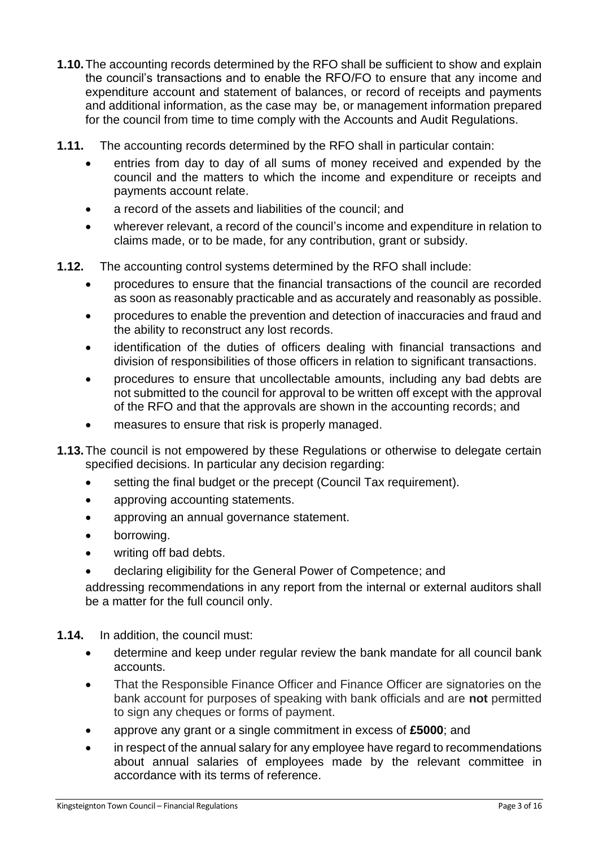- **1.10.**The accounting records determined by the RFO shall be sufficient to show and explain the council's transactions and to enable the RFO/FO to ensure that any income and expenditure account and statement of balances, or record of receipts and payments and additional information, as the case may be, or management information prepared for the council from time to time comply with the Accounts and Audit Regulations.
- **1.11.** The accounting records determined by the RFO shall in particular contain:
	- entries from day to day of all sums of money received and expended by the council and the matters to which the income and expenditure or receipts and payments account relate.
	- a record of the assets and liabilities of the council; and
	- wherever relevant, a record of the council's income and expenditure in relation to claims made, or to be made, for any contribution, grant or subsidy.
- **1.12.** The accounting control systems determined by the RFO shall include:
	- procedures to ensure that the financial transactions of the council are recorded as soon as reasonably practicable and as accurately and reasonably as possible.
	- procedures to enable the prevention and detection of inaccuracies and fraud and the ability to reconstruct any lost records.
	- identification of the duties of officers dealing with financial transactions and division of responsibilities of those officers in relation to significant transactions.
	- procedures to ensure that uncollectable amounts, including any bad debts are not submitted to the council for approval to be written off except with the approval of the RFO and that the approvals are shown in the accounting records; and
	- measures to ensure that risk is properly managed.
- **1.13.**The council is not empowered by these Regulations or otherwise to delegate certain specified decisions. In particular any decision regarding:
	- setting the final budget or the precept (Council Tax requirement).
	- approving accounting statements.
	- approving an annual governance statement.
	- borrowing.
	- writing off bad debts.
	- declaring eligibility for the General Power of Competence; and

addressing recommendations in any report from the internal or external auditors shall be a matter for the full council only.

**1.14.** In addition, the council must:

- determine and keep under regular review the bank mandate for all council bank accounts.
- That the Responsible Finance Officer and Finance Officer are signatories on the bank account for purposes of speaking with bank officials and are **not** permitted to sign any cheques or forms of payment.
- approve any grant or a single commitment in excess of **£5000**; and
- in respect of the annual salary for any employee have regard to recommendations about annual salaries of employees made by the relevant committee in accordance with its terms of reference.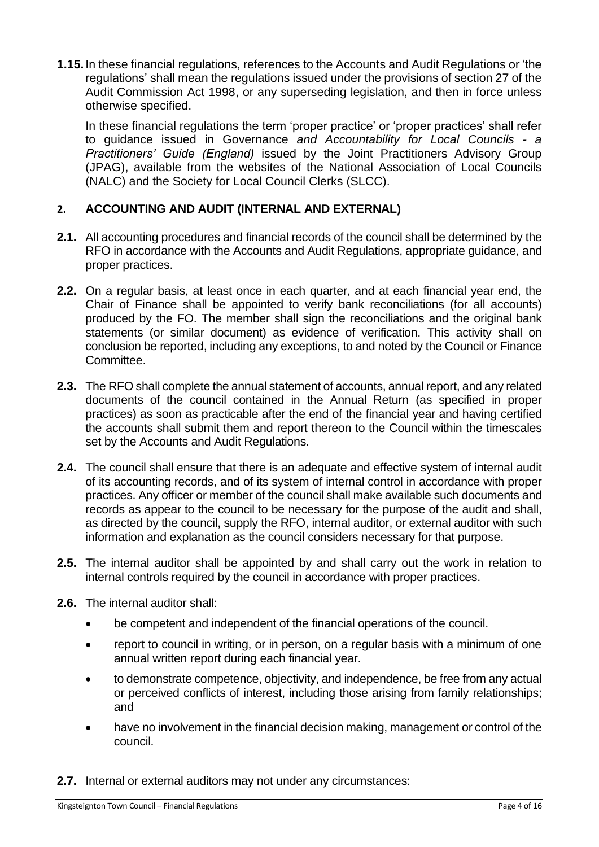**1.15.**In these financial regulations, references to the Accounts and Audit Regulations or 'the regulations' shall mean the regulations issued under the provisions of section 27 of the Audit Commission Act 1998, or any superseding legislation, and then in force unless otherwise specified.

In these financial regulations the term 'proper practice' or 'proper practices' shall refer to guidance issued in Governance *and Accountability for Local Councils - a Practitioners' Guide (England)* issued by the Joint Practitioners Advisory Group (JPAG), available from the websites of the National Association of Local Councils (NALC) and the Society for Local Council Clerks (SLCC).

#### <span id="page-4-0"></span>**2. ACCOUNTING AND AUDIT (INTERNAL AND EXTERNAL)**

- **2.1.** All accounting procedures and financial records of the council shall be determined by the RFO in accordance with the Accounts and Audit Regulations, appropriate guidance, and proper practices.
- **2.2.** On a regular basis, at least once in each quarter, and at each financial year end, the Chair of Finance shall be appointed to verify bank reconciliations (for all accounts) produced by the FO. The member shall sign the reconciliations and the original bank statements (or similar document) as evidence of verification. This activity shall on conclusion be reported, including any exceptions, to and noted by the Council or Finance Committee.
- **2.3.** The RFO shall complete the annual statement of accounts, annual report, and any related documents of the council contained in the Annual Return (as specified in proper practices) as soon as practicable after the end of the financial year and having certified the accounts shall submit them and report thereon to the Council within the timescales set by the Accounts and Audit Regulations.
- **2.4.** The council shall ensure that there is an adequate and effective system of internal audit of its accounting records, and of its system of internal control in accordance with proper practices. Any officer or member of the council shall make available such documents and records as appear to the council to be necessary for the purpose of the audit and shall, as directed by the council, supply the RFO, internal auditor, or external auditor with such information and explanation as the council considers necessary for that purpose.
- **2.5.** The internal auditor shall be appointed by and shall carry out the work in relation to internal controls required by the council in accordance with proper practices.
- **2.6.** The internal auditor shall:
	- be competent and independent of the financial operations of the council.
	- report to council in writing, or in person, on a regular basis with a minimum of one annual written report during each financial year.
	- to demonstrate competence, objectivity, and independence, be free from any actual or perceived conflicts of interest, including those arising from family relationships; and
	- have no involvement in the financial decision making, management or control of the council.
- **2.7.** Internal or external auditors may not under any circumstances: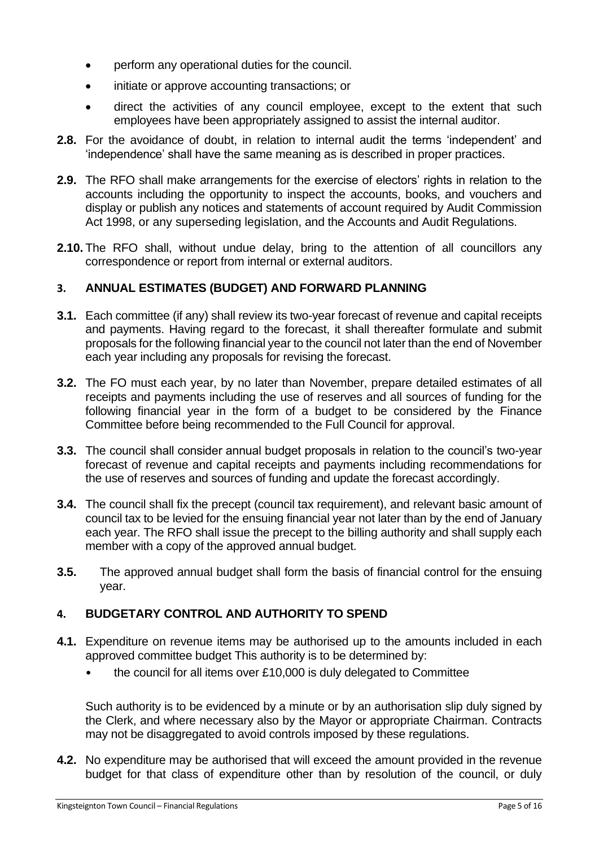- perform any operational duties for the council.
- initiate or approve accounting transactions; or
- direct the activities of any council employee, except to the extent that such employees have been appropriately assigned to assist the internal auditor.
- **2.8.** For the avoidance of doubt, in relation to internal audit the terms 'independent' and 'independence' shall have the same meaning as is described in proper practices.
- **2.9.** The RFO shall make arrangements for the exercise of electors' rights in relation to the accounts including the opportunity to inspect the accounts, books, and vouchers and display or publish any notices and statements of account required by Audit Commission Act 1998, or any superseding legislation, and the Accounts and Audit Regulations.
- **2.10.** The RFO shall, without undue delay, bring to the attention of all councillors any correspondence or report from internal or external auditors.

#### <span id="page-5-0"></span>**3. ANNUAL ESTIMATES (BUDGET) AND FORWARD PLANNING**

- **3.1.** Each committee (if any) shall review its two-year forecast of revenue and capital receipts and payments. Having regard to the forecast, it shall thereafter formulate and submit proposals for the following financial year to the council not later than the end of November each year including any proposals for revising the forecast.
- **3.2.** The FO must each year, by no later than November, prepare detailed estimates of all receipts and payments including the use of reserves and all sources of funding for the following financial year in the form of a budget to be considered by the Finance Committee before being recommended to the Full Council for approval.
- **3.3.** The council shall consider annual budget proposals in relation to the council's two-year forecast of revenue and capital receipts and payments including recommendations for the use of reserves and sources of funding and update the forecast accordingly.
- **3.4.** The council shall fix the precept (council tax requirement), and relevant basic amount of council tax to be levied for the ensuing financial year not later than by the end of January each year. The RFO shall issue the precept to the billing authority and shall supply each member with a copy of the approved annual budget.
- **3.5.** The approved annual budget shall form the basis of financial control for the ensuing year.

#### <span id="page-5-1"></span>**4. BUDGETARY CONTROL AND AUTHORITY TO SPEND**

- **4.1.** Expenditure on revenue items may be authorised up to the amounts included in each approved committee budget This authority is to be determined by:
	- the council for all items over £10,000 is duly delegated to Committee

Such authority is to be evidenced by a minute or by an authorisation slip duly signed by the Clerk, and where necessary also by the Mayor or appropriate Chairman. Contracts may not be disaggregated to avoid controls imposed by these regulations.

**4.2.** No expenditure may be authorised that will exceed the amount provided in the revenue budget for that class of expenditure other than by resolution of the council, or duly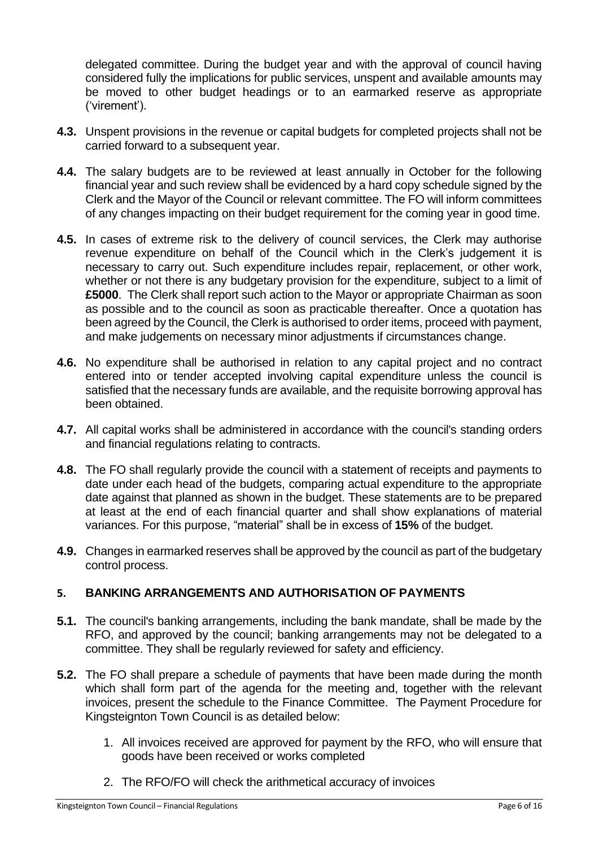delegated committee. During the budget year and with the approval of council having considered fully the implications for public services, unspent and available amounts may be moved to other budget headings or to an earmarked reserve as appropriate ('virement').

- **4.3.** Unspent provisions in the revenue or capital budgets for completed projects shall not be carried forward to a subsequent year.
- **4.4.** The salary budgets are to be reviewed at least annually in October for the following financial year and such review shall be evidenced by a hard copy schedule signed by the Clerk and the Mayor of the Council or relevant committee. The FO will inform committees of any changes impacting on their budget requirement for the coming year in good time.
- **4.5.** In cases of extreme risk to the delivery of council services, the Clerk may authorise revenue expenditure on behalf of the Council which in the Clerk's judgement it is necessary to carry out. Such expenditure includes repair, replacement, or other work, whether or not there is any budgetary provision for the expenditure, subject to a limit of **£5000**. The Clerk shall report such action to the Mayor or appropriate Chairman as soon as possible and to the council as soon as practicable thereafter. Once a quotation has been agreed by the Council, the Clerk is authorised to order items, proceed with payment, and make judgements on necessary minor adjustments if circumstances change.
- **4.6.** No expenditure shall be authorised in relation to any capital project and no contract entered into or tender accepted involving capital expenditure unless the council is satisfied that the necessary funds are available, and the requisite borrowing approval has been obtained.
- **4.7.** All capital works shall be administered in accordance with the council's standing orders and financial regulations relating to contracts.
- **4.8.** The FO shall regularly provide the council with a statement of receipts and payments to date under each head of the budgets, comparing actual expenditure to the appropriate date against that planned as shown in the budget. These statements are to be prepared at least at the end of each financial quarter and shall show explanations of material variances. For this purpose, "material" shall be in excess of **15%** of the budget.
- **4.9.** Changes in earmarked reserves shall be approved by the council as part of the budgetary control process.

#### <span id="page-6-0"></span>**5. BANKING ARRANGEMENTS AND AUTHORISATION OF PAYMENTS**

- **5.1.** The council's banking arrangements, including the bank mandate, shall be made by the RFO, and approved by the council; banking arrangements may not be delegated to a committee. They shall be regularly reviewed for safety and efficiency.
- **5.2.** The FO shall prepare a schedule of payments that have been made during the month which shall form part of the agenda for the meeting and, together with the relevant invoices, present the schedule to the Finance Committee. The Payment Procedure for Kingsteignton Town Council is as detailed below:
	- 1. All invoices received are approved for payment by the RFO, who will ensure that goods have been received or works completed
	- 2. The RFO/FO will check the arithmetical accuracy of invoices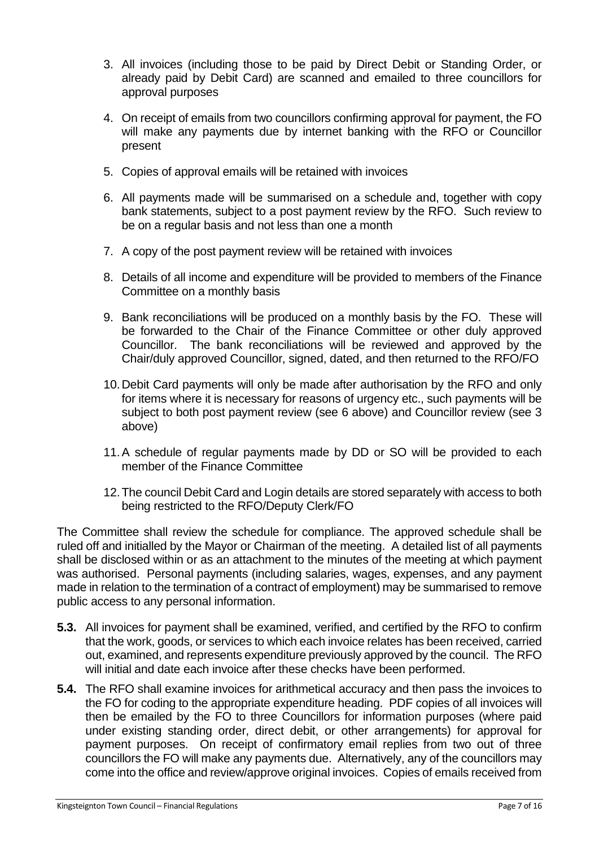- 3. All invoices (including those to be paid by Direct Debit or Standing Order, or already paid by Debit Card) are scanned and emailed to three councillors for approval purposes
- 4. On receipt of emails from two councillors confirming approval for payment, the FO will make any payments due by internet banking with the RFO or Councillor present
- 5. Copies of approval emails will be retained with invoices
- 6. All payments made will be summarised on a schedule and, together with copy bank statements, subject to a post payment review by the RFO. Such review to be on a regular basis and not less than one a month
- 7. A copy of the post payment review will be retained with invoices
- 8. Details of all income and expenditure will be provided to members of the Finance Committee on a monthly basis
- 9. Bank reconciliations will be produced on a monthly basis by the FO. These will be forwarded to the Chair of the Finance Committee or other duly approved Councillor. The bank reconciliations will be reviewed and approved by the Chair/duly approved Councillor, signed, dated, and then returned to the RFO/FO
- 10.Debit Card payments will only be made after authorisation by the RFO and only for items where it is necessary for reasons of urgency etc., such payments will be subject to both post payment review (see 6 above) and Councillor review (see 3 above)
- 11.A schedule of regular payments made by DD or SO will be provided to each member of the Finance Committee
- 12.The council Debit Card and Login details are stored separately with access to both being restricted to the RFO/Deputy Clerk/FO

The Committee shall review the schedule for compliance. The approved schedule shall be ruled off and initialled by the Mayor or Chairman of the meeting. A detailed list of all payments shall be disclosed within or as an attachment to the minutes of the meeting at which payment was authorised. Personal payments (including salaries, wages, expenses, and any payment made in relation to the termination of a contract of employment) may be summarised to remove public access to any personal information.

- **5.3.** All invoices for payment shall be examined, verified, and certified by the RFO to confirm that the work, goods, or services to which each invoice relates has been received, carried out, examined, and represents expenditure previously approved by the council. The RFO will initial and date each invoice after these checks have been performed.
- **5.4.** The RFO shall examine invoices for arithmetical accuracy and then pass the invoices to the FO for coding to the appropriate expenditure heading. PDF copies of all invoices will then be emailed by the FO to three Councillors for information purposes (where paid under existing standing order, direct debit, or other arrangements) for approval for payment purposes. On receipt of confirmatory email replies from two out of three councillors the FO will make any payments due. Alternatively, any of the councillors may come into the office and review/approve original invoices. Copies of emails received from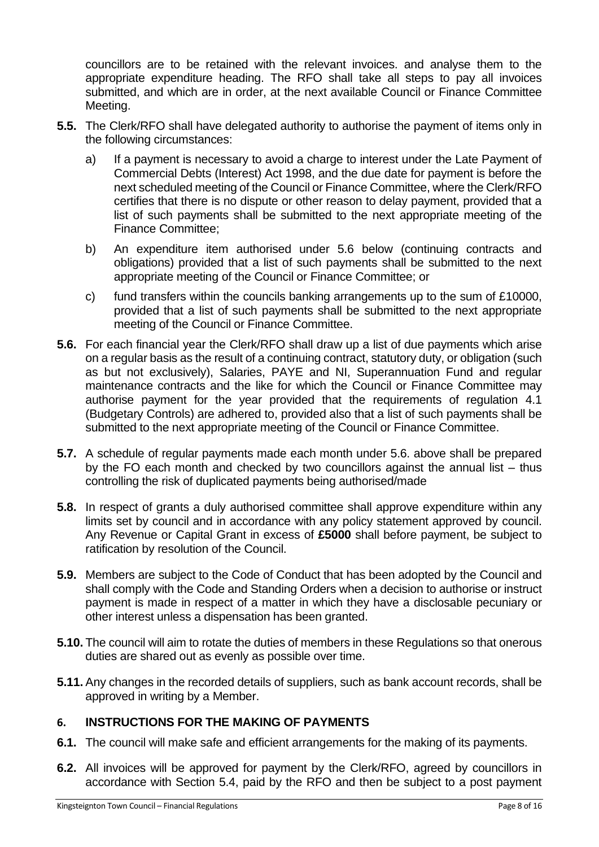councillors are to be retained with the relevant invoices. and analyse them to the appropriate expenditure heading. The RFO shall take all steps to pay all invoices submitted, and which are in order, at the next available Council or Finance Committee Meeting.

- **5.5.** The Clerk/RFO shall have delegated authority to authorise the payment of items only in the following circumstances:
	- a) If a payment is necessary to avoid a charge to interest under the Late Payment of Commercial Debts (Interest) Act 1998, and the due date for payment is before the next scheduled meeting of the Council or Finance Committee, where the Clerk/RFO certifies that there is no dispute or other reason to delay payment, provided that a list of such payments shall be submitted to the next appropriate meeting of the Finance Committee;
	- b) An expenditure item authorised under 5.6 below (continuing contracts and obligations) provided that a list of such payments shall be submitted to the next appropriate meeting of the Council or Finance Committee; or
	- c) fund transfers within the councils banking arrangements up to the sum of £10000, provided that a list of such payments shall be submitted to the next appropriate meeting of the Council or Finance Committee.
- **5.6.** For each financial year the Clerk/RFO shall draw up a list of due payments which arise on a regular basis as the result of a continuing contract, statutory duty, or obligation (such as but not exclusively), Salaries, PAYE and NI, Superannuation Fund and regular maintenance contracts and the like for which the Council or Finance Committee may authorise payment for the year provided that the requirements of regulation 4.1 (Budgetary Controls) are adhered to, provided also that a list of such payments shall be submitted to the next appropriate meeting of the Council or Finance Committee.
- **5.7.** A schedule of regular payments made each month under 5.6. above shall be prepared by the FO each month and checked by two councillors against the annual list – thus controlling the risk of duplicated payments being authorised/made
- **5.8.** In respect of grants a duly authorised committee shall approve expenditure within any limits set by council and in accordance with any policy statement approved by council. Any Revenue or Capital Grant in excess of **£5000** shall before payment, be subject to ratification by resolution of the Council.
- **5.9.** Members are subject to the Code of Conduct that has been adopted by the Council and shall comply with the Code and Standing Orders when a decision to authorise or instruct payment is made in respect of a matter in which they have a disclosable pecuniary or other interest unless a dispensation has been granted.
- **5.10.** The council will aim to rotate the duties of members in these Regulations so that onerous duties are shared out as evenly as possible over time.
- **5.11.** Any changes in the recorded details of suppliers, such as bank account records, shall be approved in writing by a Member.

#### <span id="page-8-0"></span>**6. INSTRUCTIONS FOR THE MAKING OF PAYMENTS**

- **6.1.** The council will make safe and efficient arrangements for the making of its payments.
- **6.2.** All invoices will be approved for payment by the Clerk/RFO, agreed by councillors in accordance with Section 5.4, paid by the RFO and then be subject to a post payment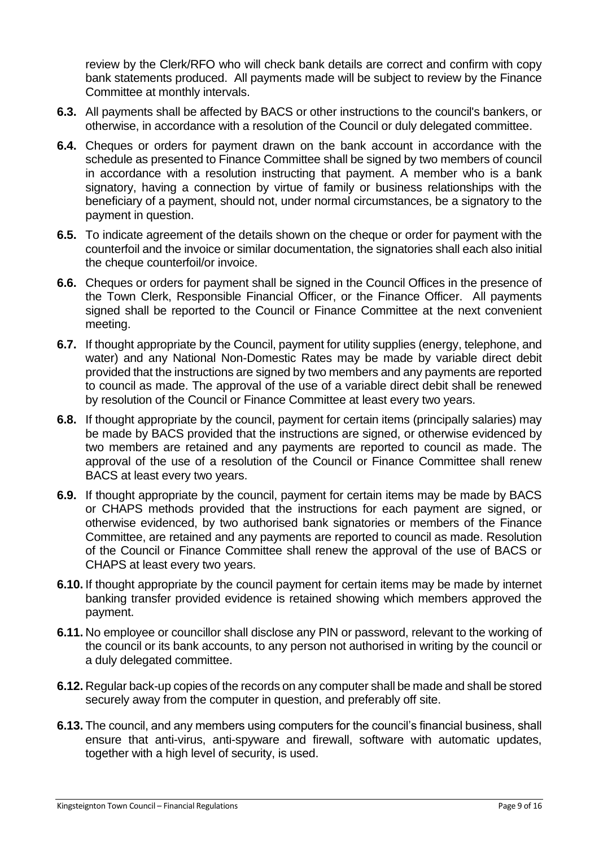review by the Clerk/RFO who will check bank details are correct and confirm with copy bank statements produced. All payments made will be subject to review by the Finance Committee at monthly intervals.

- **6.3.** All payments shall be affected by BACS or other instructions to the council's bankers, or otherwise, in accordance with a resolution of the Council or duly delegated committee.
- **6.4.** Cheques or orders for payment drawn on the bank account in accordance with the schedule as presented to Finance Committee shall be signed by two members of council in accordance with a resolution instructing that payment. A member who is a bank signatory, having a connection by virtue of family or business relationships with the beneficiary of a payment, should not, under normal circumstances, be a signatory to the payment in question.
- **6.5.** To indicate agreement of the details shown on the cheque or order for payment with the counterfoil and the invoice or similar documentation, the signatories shall each also initial the cheque counterfoil/or invoice.
- **6.6.** Cheques or orders for payment shall be signed in the Council Offices in the presence of the Town Clerk, Responsible Financial Officer, or the Finance Officer. All payments signed shall be reported to the Council or Finance Committee at the next convenient meeting.
- **6.7.** If thought appropriate by the Council, payment for utility supplies (energy, telephone, and water) and any National Non-Domestic Rates may be made by variable direct debit provided that the instructions are signed by two members and any payments are reported to council as made. The approval of the use of a variable direct debit shall be renewed by resolution of the Council or Finance Committee at least every two years.
- **6.8.** If thought appropriate by the council, payment for certain items (principally salaries) may be made by BACS provided that the instructions are signed, or otherwise evidenced by two members are retained and any payments are reported to council as made. The approval of the use of a resolution of the Council or Finance Committee shall renew BACS at least every two years.
- **6.9.** If thought appropriate by the council, payment for certain items may be made by BACS or CHAPS methods provided that the instructions for each payment are signed, or otherwise evidenced, by two authorised bank signatories or members of the Finance Committee, are retained and any payments are reported to council as made. Resolution of the Council or Finance Committee shall renew the approval of the use of BACS or CHAPS at least every two years.
- **6.10.** If thought appropriate by the council payment for certain items may be made by internet banking transfer provided evidence is retained showing which members approved the payment.
- **6.11.** No employee or councillor shall disclose any PIN or password, relevant to the working of the council or its bank accounts, to any person not authorised in writing by the council or a duly delegated committee.
- **6.12.** Regular back-up copies of the records on any computer shall be made and shall be stored securely away from the computer in question, and preferably off site.
- **6.13.** The council, and any members using computers for the council's financial business, shall ensure that anti-virus, anti-spyware and firewall, software with automatic updates, together with a high level of security, is used.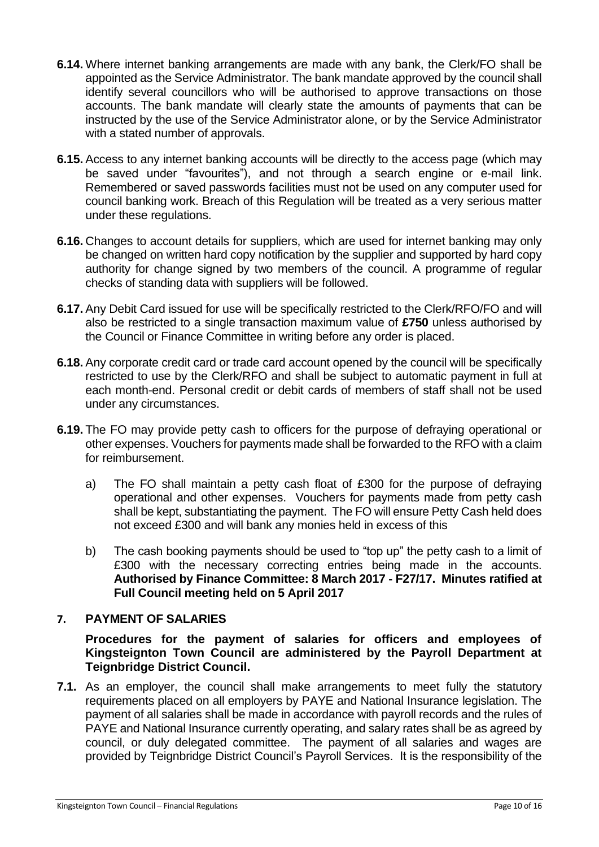- **6.14.** Where internet banking arrangements are made with any bank, the Clerk/FO shall be appointed as the Service Administrator. The bank mandate approved by the council shall identify several councillors who will be authorised to approve transactions on those accounts. The bank mandate will clearly state the amounts of payments that can be instructed by the use of the Service Administrator alone, or by the Service Administrator with a stated number of approvals.
- **6.15.** Access to any internet banking accounts will be directly to the access page (which may be saved under "favourites"), and not through a search engine or e-mail link. Remembered or saved passwords facilities must not be used on any computer used for council banking work. Breach of this Regulation will be treated as a very serious matter under these regulations.
- **6.16.** Changes to account details for suppliers, which are used for internet banking may only be changed on written hard copy notification by the supplier and supported by hard copy authority for change signed by two members of the council. A programme of regular checks of standing data with suppliers will be followed.
- **6.17.** Any Debit Card issued for use will be specifically restricted to the Clerk/RFO/FO and will also be restricted to a single transaction maximum value of **£750** unless authorised by the Council or Finance Committee in writing before any order is placed.
- **6.18.** Any corporate credit card or trade card account opened by the council will be specifically restricted to use by the Clerk/RFO and shall be subject to automatic payment in full at each month-end. Personal credit or debit cards of members of staff shall not be used under any circumstances.
- **6.19.** The FO may provide petty cash to officers for the purpose of defraying operational or other expenses. Vouchers for payments made shall be forwarded to the RFO with a claim for reimbursement.
	- a) The FO shall maintain a petty cash float of £300 for the purpose of defraying operational and other expenses. Vouchers for payments made from petty cash shall be kept, substantiating the payment. The FO will ensure Petty Cash held does not exceed £300 and will bank any monies held in excess of this
	- b) The cash booking payments should be used to "top up" the petty cash to a limit of £300 with the necessary correcting entries being made in the accounts. **Authorised by Finance Committee: 8 March 2017 - F27/17. Minutes ratified at Full Council meeting held on 5 April 2017**

#### <span id="page-10-0"></span>**7. PAYMENT OF SALARIES**

**Procedures for the payment of salaries for officers and employees of Kingsteignton Town Council are administered by the Payroll Department at Teignbridge District Council.**

**7.1.** As an employer, the council shall make arrangements to meet fully the statutory requirements placed on all employers by PAYE and National Insurance legislation. The payment of all salaries shall be made in accordance with payroll records and the rules of PAYE and National Insurance currently operating, and salary rates shall be as agreed by council, or duly delegated committee. The payment of all salaries and wages are provided by Teignbridge District Council's Payroll Services. It is the responsibility of the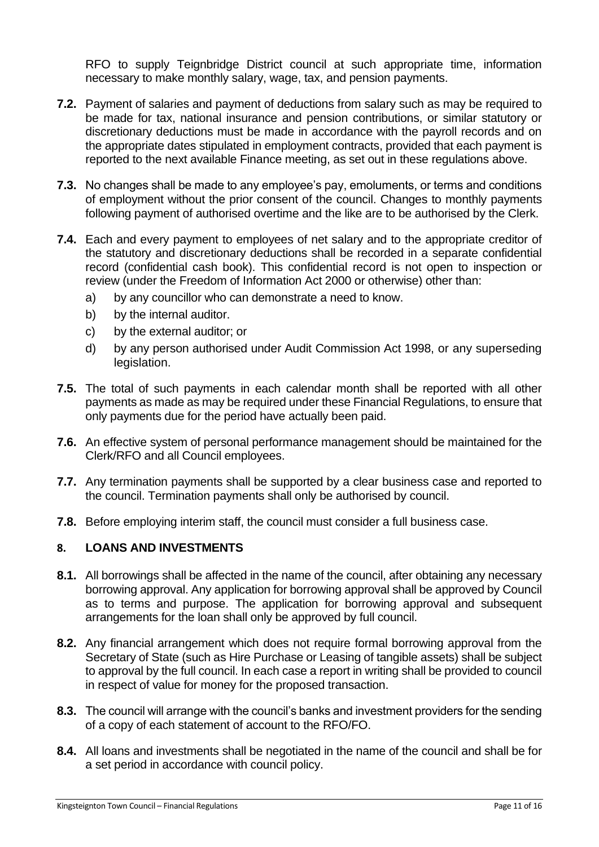RFO to supply Teignbridge District council at such appropriate time, information necessary to make monthly salary, wage, tax, and pension payments.

- **7.2.** Payment of salaries and payment of deductions from salary such as may be required to be made for tax, national insurance and pension contributions, or similar statutory or discretionary deductions must be made in accordance with the payroll records and on the appropriate dates stipulated in employment contracts, provided that each payment is reported to the next available Finance meeting, as set out in these regulations above.
- **7.3.** No changes shall be made to any employee's pay, emoluments, or terms and conditions of employment without the prior consent of the council. Changes to monthly payments following payment of authorised overtime and the like are to be authorised by the Clerk.
- **7.4.** Each and every payment to employees of net salary and to the appropriate creditor of the statutory and discretionary deductions shall be recorded in a separate confidential record (confidential cash book). This confidential record is not open to inspection or review (under the Freedom of Information Act 2000 or otherwise) other than:
	- a) by any councillor who can demonstrate a need to know.
	- b) by the internal auditor.
	- c) by the external auditor; or
	- d) by any person authorised under Audit Commission Act 1998, or any superseding legislation.
- **7.5.** The total of such payments in each calendar month shall be reported with all other payments as made as may be required under these Financial Regulations, to ensure that only payments due for the period have actually been paid.
- **7.6.** An effective system of personal performance management should be maintained for the Clerk/RFO and all Council employees.
- **7.7.** Any termination payments shall be supported by a clear business case and reported to the council. Termination payments shall only be authorised by council.
- **7.8.** Before employing interim staff, the council must consider a full business case.

#### <span id="page-11-0"></span>**8. LOANS AND INVESTMENTS**

- **8.1.** All borrowings shall be affected in the name of the council, after obtaining any necessary borrowing approval. Any application for borrowing approval shall be approved by Council as to terms and purpose. The application for borrowing approval and subsequent arrangements for the loan shall only be approved by full council.
- **8.2.** Any financial arrangement which does not require formal borrowing approval from the Secretary of State (such as Hire Purchase or Leasing of tangible assets) shall be subject to approval by the full council. In each case a report in writing shall be provided to council in respect of value for money for the proposed transaction.
- **8.3.** The council will arrange with the council's banks and investment providers for the sending of a copy of each statement of account to the RFO/FO.
- **8.4.** All loans and investments shall be negotiated in the name of the council and shall be for a set period in accordance with council policy.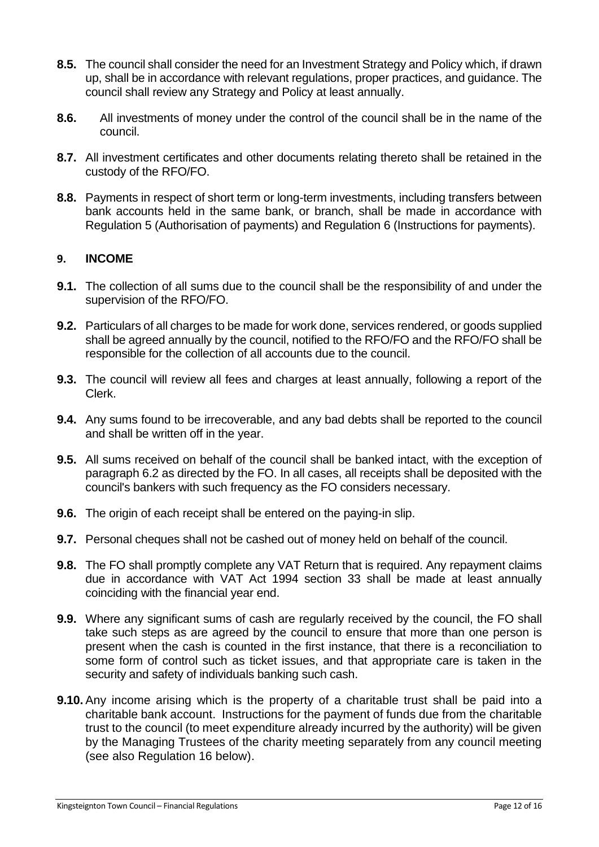- **8.5.** The council shall consider the need for an Investment Strategy and Policy which, if drawn up, shall be in accordance with relevant regulations, proper practices, and guidance. The council shall review any Strategy and Policy at least annually.
- **8.6.** All investments of money under the control of the council shall be in the name of the council.
- **8.7.** All investment certificates and other documents relating thereto shall be retained in the custody of the RFO/FO.
- **8.8.** Payments in respect of short term or long-term investments, including transfers between bank accounts held in the same bank, or branch, shall be made in accordance with Regulation 5 (Authorisation of payments) and Regulation 6 (Instructions for payments).

#### <span id="page-12-0"></span>**9. INCOME**

- **9.1.** The collection of all sums due to the council shall be the responsibility of and under the supervision of the RFO/FO.
- **9.2.** Particulars of all charges to be made for work done, services rendered, or goods supplied shall be agreed annually by the council, notified to the RFO/FO and the RFO/FO shall be responsible for the collection of all accounts due to the council.
- **9.3.** The council will review all fees and charges at least annually, following a report of the Clerk.
- **9.4.** Any sums found to be irrecoverable, and any bad debts shall be reported to the council and shall be written off in the year.
- **9.5.** All sums received on behalf of the council shall be banked intact, with the exception of paragraph 6.2 as directed by the FO. In all cases, all receipts shall be deposited with the council's bankers with such frequency as the FO considers necessary.
- **9.6.** The origin of each receipt shall be entered on the paying-in slip.
- **9.7.** Personal cheques shall not be cashed out of money held on behalf of the council.
- **9.8.** The FO shall promptly complete any VAT Return that is required. Any repayment claims due in accordance with VAT Act 1994 section 33 shall be made at least annually coinciding with the financial year end.
- **9.9.** Where any significant sums of cash are regularly received by the council, the FO shall take such steps as are agreed by the council to ensure that more than one person is present when the cash is counted in the first instance, that there is a reconciliation to some form of control such as ticket issues, and that appropriate care is taken in the security and safety of individuals banking such cash.
- **9.10.** Any income arising which is the property of a charitable trust shall be paid into a charitable bank account. Instructions for the payment of funds due from the charitable trust to the council (to meet expenditure already incurred by the authority) will be given by the Managing Trustees of the charity meeting separately from any council meeting (see also Regulation 16 below).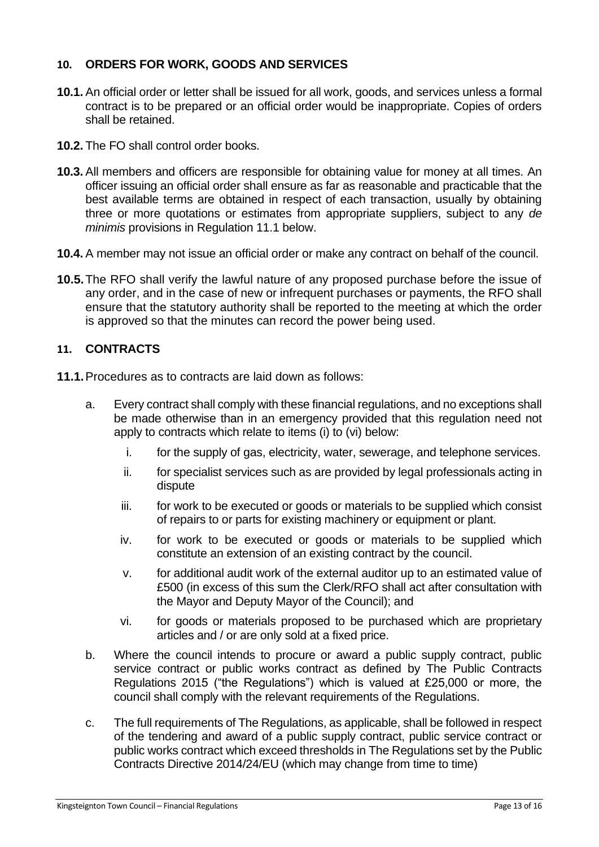#### <span id="page-13-0"></span>**10. ORDERS FOR WORK, GOODS AND SERVICES**

- **10.1.** An official order or letter shall be issued for all work, goods, and services unless a formal contract is to be prepared or an official order would be inappropriate. Copies of orders shall be retained.
- **10.2.** The FO shall control order books.
- **10.3.** All members and officers are responsible for obtaining value for money at all times. An officer issuing an official order shall ensure as far as reasonable and practicable that the best available terms are obtained in respect of each transaction, usually by obtaining three or more quotations or estimates from appropriate suppliers, subject to any *de minimis* provisions in Regulation 11.1 below.
- **10.4.** A member may not issue an official order or make any contract on behalf of the council.
- **10.5.**The RFO shall verify the lawful nature of any proposed purchase before the issue of any order, and in the case of new or infrequent purchases or payments, the RFO shall ensure that the statutory authority shall be reported to the meeting at which the order is approved so that the minutes can record the power being used.

#### <span id="page-13-1"></span>**11. CONTRACTS**

- **11.1.**Procedures as to contracts are laid down as follows:
	- a. Every contract shall comply with these financial regulations, and no exceptions shall be made otherwise than in an emergency provided that this regulation need not apply to contracts which relate to items (i) to (vi) below:
		- i. for the supply of gas, electricity, water, sewerage, and telephone services.
		- ii. for specialist services such as are provided by legal professionals acting in dispute
		- iii. for work to be executed or goods or materials to be supplied which consist of repairs to or parts for existing machinery or equipment or plant.
		- iv. for work to be executed or goods or materials to be supplied which constitute an extension of an existing contract by the council.
		- v. for additional audit work of the external auditor up to an estimated value of £500 (in excess of this sum the Clerk/RFO shall act after consultation with the Mayor and Deputy Mayor of the Council); and
		- vi. for goods or materials proposed to be purchased which are proprietary articles and / or are only sold at a fixed price.
	- b. Where the council intends to procure or award a public supply contract, public service contract or public works contract as defined by The Public Contracts Regulations 2015 ("the Regulations") which is valued at £25,000 or more, the council shall comply with the relevant requirements of the Regulations.
	- c. The full requirements of The Regulations, as applicable, shall be followed in respect of the tendering and award of a public supply contract, public service contract or public works contract which exceed thresholds in The Regulations set by the Public Contracts Directive 2014/24/EU (which may change from time to time)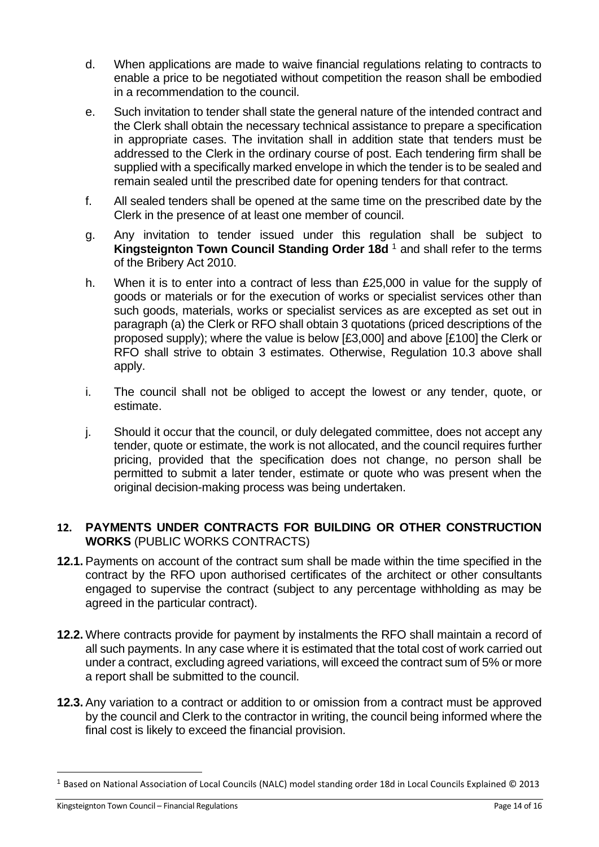- d. When applications are made to waive financial regulations relating to contracts to enable a price to be negotiated without competition the reason shall be embodied in a recommendation to the council.
- e. Such invitation to tender shall state the general nature of the intended contract and the Clerk shall obtain the necessary technical assistance to prepare a specification in appropriate cases. The invitation shall in addition state that tenders must be addressed to the Clerk in the ordinary course of post. Each tendering firm shall be supplied with a specifically marked envelope in which the tender is to be sealed and remain sealed until the prescribed date for opening tenders for that contract.
- f. All sealed tenders shall be opened at the same time on the prescribed date by the Clerk in the presence of at least one member of council.
- g. Any invitation to tender issued under this regulation shall be subject to **Kingsteignton Town Council Standing Order 18d<sup>1</sup> and shall refer to the terms** of the Bribery Act 2010.
- h. When it is to enter into a contract of less than £25,000 in value for the supply of goods or materials or for the execution of works or specialist services other than such goods, materials, works or specialist services as are excepted as set out in paragraph (a) the Clerk or RFO shall obtain 3 quotations (priced descriptions of the proposed supply); where the value is below [£3,000] and above [£100] the Clerk or RFO shall strive to obtain 3 estimates. Otherwise, Regulation 10.3 above shall apply.
- i. The council shall not be obliged to accept the lowest or any tender, quote, or estimate.
- j. Should it occur that the council, or duly delegated committee, does not accept any tender, quote or estimate, the work is not allocated, and the council requires further pricing, provided that the specification does not change, no person shall be permitted to submit a later tender, estimate or quote who was present when the original decision-making process was being undertaken.

#### <span id="page-14-0"></span>**12. PAYMENTS UNDER CONTRACTS FOR BUILDING OR OTHER CONSTRUCTION WORKS** (PUBLIC WORKS CONTRACTS)

- **12.1.** Payments on account of the contract sum shall be made within the time specified in the contract by the RFO upon authorised certificates of the architect or other consultants engaged to supervise the contract (subject to any percentage withholding as may be agreed in the particular contract).
- **12.2.** Where contracts provide for payment by instalments the RFO shall maintain a record of all such payments. In any case where it is estimated that the total cost of work carried out under a contract, excluding agreed variations, will exceed the contract sum of 5% or more a report shall be submitted to the council.
- **12.3.** Any variation to a contract or addition to or omission from a contract must be approved by the council and Clerk to the contractor in writing, the council being informed where the final cost is likely to exceed the financial provision.

<sup>1</sup> Based on National Association of Local Councils (NALC) model standing order 18d in Local Councils Explained © 2013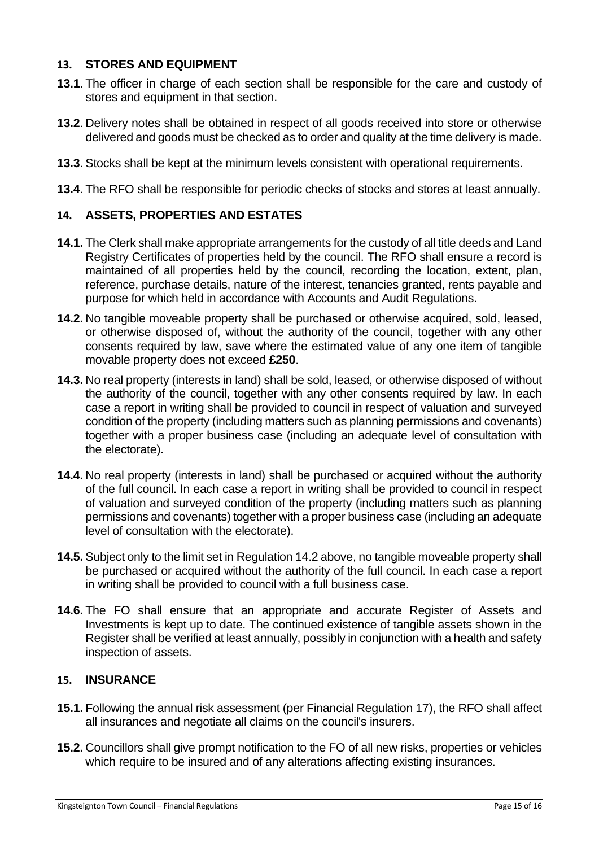#### <span id="page-15-0"></span>**13. STORES AND EQUIPMENT**

- **13.1**. The officer in charge of each section shall be responsible for the care and custody of stores and equipment in that section.
- **13.2**. Delivery notes shall be obtained in respect of all goods received into store or otherwise delivered and goods must be checked as to order and quality at the time delivery is made.
- **13.3**. Stocks shall be kept at the minimum levels consistent with operational requirements.
- **13.4**. The RFO shall be responsible for periodic checks of stocks and stores at least annually.

#### <span id="page-15-1"></span>**14. ASSETS, PROPERTIES AND ESTATES**

- **14.1.** The Clerk shall make appropriate arrangements for the custody of all title deeds and Land Registry Certificates of properties held by the council. The RFO shall ensure a record is maintained of all properties held by the council, recording the location, extent, plan, reference, purchase details, nature of the interest, tenancies granted, rents payable and purpose for which held in accordance with Accounts and Audit Regulations.
- **14.2.** No tangible moveable property shall be purchased or otherwise acquired, sold, leased, or otherwise disposed of, without the authority of the council, together with any other consents required by law, save where the estimated value of any one item of tangible movable property does not exceed **£250**.
- **14.3.** No real property (interests in land) shall be sold, leased, or otherwise disposed of without the authority of the council, together with any other consents required by law. In each case a report in writing shall be provided to council in respect of valuation and surveyed condition of the property (including matters such as planning permissions and covenants) together with a proper business case (including an adequate level of consultation with the electorate).
- **14.4.** No real property (interests in land) shall be purchased or acquired without the authority of the full council. In each case a report in writing shall be provided to council in respect of valuation and surveyed condition of the property (including matters such as planning permissions and covenants) together with a proper business case (including an adequate level of consultation with the electorate).
- **14.5.** Subject only to the limit set in Regulation 14.2 above, no tangible moveable property shall be purchased or acquired without the authority of the full council. In each case a report in writing shall be provided to council with a full business case.
- **14.6.** The FO shall ensure that an appropriate and accurate Register of Assets and Investments is kept up to date. The continued existence of tangible assets shown in the Register shall be verified at least annually, possibly in conjunction with a health and safety inspection of assets.

#### <span id="page-15-2"></span>**15. INSURANCE**

- **15.1.** Following the annual risk assessment (per Financial Regulation 17), the RFO shall affect all insurances and negotiate all claims on the council's insurers.
- **15.2.** Councillors shall give prompt notification to the FO of all new risks, properties or vehicles which require to be insured and of any alterations affecting existing insurances.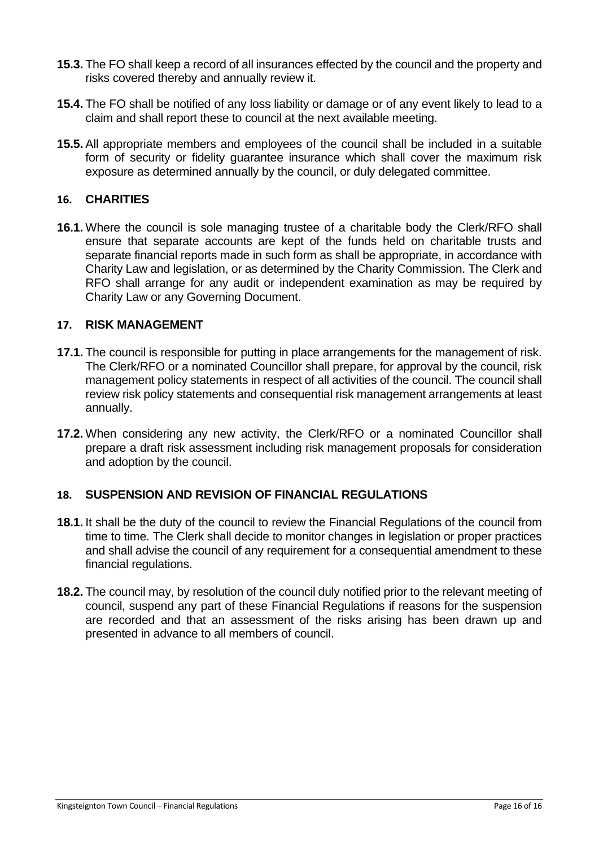- **15.3.** The FO shall keep a record of all insurances effected by the council and the property and risks covered thereby and annually review it.
- **15.4.** The FO shall be notified of any loss liability or damage or of any event likely to lead to a claim and shall report these to council at the next available meeting.
- **15.5.** All appropriate members and employees of the council shall be included in a suitable form of security or fidelity guarantee insurance which shall cover the maximum risk exposure as determined annually by the council, or duly delegated committee.

#### <span id="page-16-0"></span>**16. CHARITIES**

**16.1.** Where the council is sole managing trustee of a charitable body the Clerk/RFO shall ensure that separate accounts are kept of the funds held on charitable trusts and separate financial reports made in such form as shall be appropriate, in accordance with Charity Law and legislation, or as determined by the Charity Commission. The Clerk and RFO shall arrange for any audit or independent examination as may be required by Charity Law or any Governing Document.

#### <span id="page-16-1"></span>**17. RISK MANAGEMENT**

- **17.1.** The council is responsible for putting in place arrangements for the management of risk. The Clerk/RFO or a nominated Councillor shall prepare, for approval by the council, risk management policy statements in respect of all activities of the council. The council shall review risk policy statements and consequential risk management arrangements at least annually.
- **17.2.** When considering any new activity, the Clerk/RFO or a nominated Councillor shall prepare a draft risk assessment including risk management proposals for consideration and adoption by the council.

#### <span id="page-16-2"></span>**18. SUSPENSION AND REVISION OF FINANCIAL REGULATIONS**

- **18.1.** It shall be the duty of the council to review the Financial Regulations of the council from time to time. The Clerk shall decide to monitor changes in legislation or proper practices and shall advise the council of any requirement for a consequential amendment to these financial regulations.
- **18.2.** The council may, by resolution of the council duly notified prior to the relevant meeting of council, suspend any part of these Financial Regulations if reasons for the suspension are recorded and that an assessment of the risks arising has been drawn up and presented in advance to all members of council.